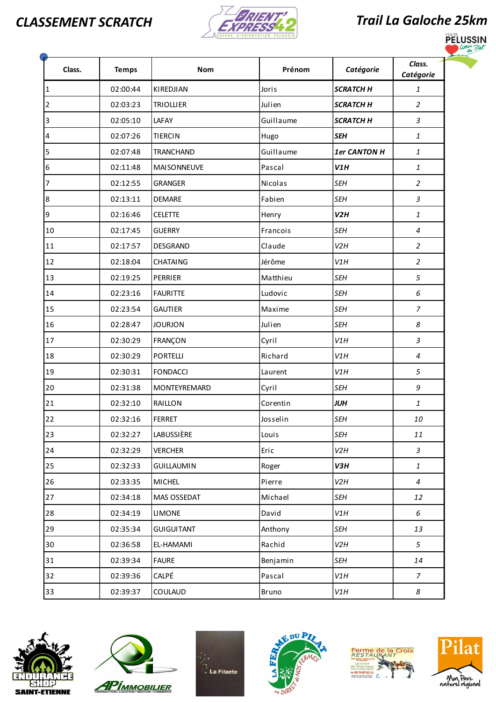



|                | SSEMENT SCRATCH |                   |              |                     | <b>Trail La Galoche 25km</b>                  |  |  |
|----------------|-----------------|-------------------|--------------|---------------------|-----------------------------------------------|--|--|
| Class.         | <b>Temps</b>    | <b>Nom</b>        | Prénom       | Catégorie           | Class.<br>Catégorie                           |  |  |
|                | 02:00:44        | KIREDJIAN         | <b>Joris</b> | <b>SCRATCH H</b>    | 1                                             |  |  |
| $\overline{2}$ | 02:03:23        | <b>TRIOLLIER</b>  | Julien       | <b>SCRATCH H</b>    | 2                                             |  |  |
| 3              | 02:05:10        | LAFAY             | Guillaume    | <b>SCRATCH H</b>    | $\ensuremath{\mathsf{3}}$                     |  |  |
| 4              | 02:07:26        | TIERCIN           | Hugo         | <b>SEH</b>          | 1                                             |  |  |
| 5              | 02:07:48        | TRANCHAND         | Guillaume    | <b>1er CANTON H</b> | $\mathbf{1}$                                  |  |  |
| 6              | 02:11:48        | MAISONNEUVE       | Pascal       | V1H                 | $\mathbf{1}$                                  |  |  |
| 17             | 02:12:55        | GRANGER           | Nicolas      | <b>SEH</b>          | $\overline{2}$                                |  |  |
| 8              | 02:13:11        | DEMARE            | Fabien       | <b>SEH</b>          | $\mathfrak{Z}$                                |  |  |
| 9              | 02:16:46        | <b>CELETTE</b>    | Henry        | V2H                 | $\mathbf{1}$                                  |  |  |
| 10             | 02:17:45        | GUERRY            | Francois     | <b>SEH</b>          | 4                                             |  |  |
| 11             | 02:17:57        | DESGRAND          | Claude       | V2H                 | $\overline{2}$                                |  |  |
| 12             | 02:18:04        | <b>CHATAING</b>   | Jérôme       | V1H                 | $\overline{2}$                                |  |  |
| 13             | 02:19:25        | PERRIER           | Matthieu     | <b>SEH</b>          | 5                                             |  |  |
| 14             | 02:23:16        | FAURITTE          | Ludovic      | <b>SEH</b>          | $\epsilon$                                    |  |  |
| 15             | 02:23:54        | <b>GAUTIER</b>    | Maxime       | <b>SEH</b>          | $\overline{7}$                                |  |  |
| 16             | 02:28:47        | <b>JOURJON</b>    | Julien       | <b>SEH</b>          | $\boldsymbol{8}$                              |  |  |
| 17             | 02:30:29        | FRANÇON           | Cyril        | V1H                 | $\mathfrak{Z}$                                |  |  |
| 18             | 02:30:29        | PORTELLI          | Richard      | V1H                 | $\boldsymbol{4}$                              |  |  |
| 19             | 02:30:31        | <b>FONDACCI</b>   | Laurent      | V1H                 | 5                                             |  |  |
| 20             | 02:31:38        | MONTEYREMARD      | Cyril        | <b>SEH</b>          | 9                                             |  |  |
| 21             | 02:32:10        | RAILLON           | Corentin     | <b>JUH</b>          | $\mathbf{1}$                                  |  |  |
| $22$           | 02:32:16        | FERRET            | Josselin     | <b>SEH</b>          | 10                                            |  |  |
| 23             | 02:32:27        | <b>LABUSSIÈRE</b> | Louis        | <b>SEH</b>          | 11                                            |  |  |
| 24             | 02:32:29        | <b>VERCHER</b>    | Eric         | V2H                 | $\mathfrak{Z}$                                |  |  |
| 25             | 02:32:33        | <b>GUILLAUMIN</b> | Roger        | V3H                 | $\mathbf{1}% \in\mathbb{Z}_{+}^{d}[0,\infty)$ |  |  |
| 26             | 02:33:35        | MICHEL            | Pierre       | V2H                 | $\boldsymbol{4}$                              |  |  |
| 27             | 02:34:18        | MAS OSSEDAT       | Michael      | <b>SEH</b>          | 12                                            |  |  |
| 28             | 02:34:19        | <b>LIMONE</b>     | David        | V1H                 | 6                                             |  |  |
| 29             | 02:35:34        | GUIGUITANT        | Anthony      | <b>SEH</b>          | 13                                            |  |  |
| 30             | 02:36:58        | EL-HAMAMI         | Rachid       | V2H                 | 5                                             |  |  |
| 31             | 02:39:34        | <b>FAURE</b>      | Benjamin     | <b>SEH</b>          | 14                                            |  |  |
| 32             | 02:39:36        | CALPÉ             | Pascal       | V1H                 | $\overline{7}$                                |  |  |
| 33             | 02:39:37        | COULAUD           | Bruno        | V1H                 | $\it 8$                                       |  |  |











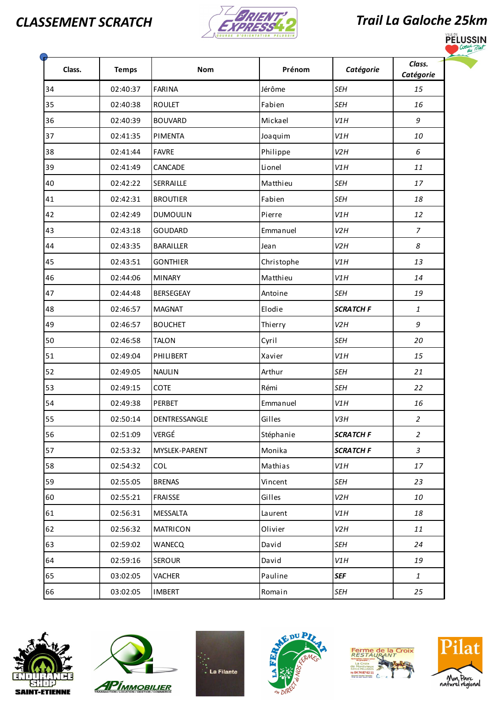



|        |              |                  |            |                  | <b>Trail La Galoche 25km</b> |  |  |
|--------|--------------|------------------|------------|------------------|------------------------------|--|--|
| Class. | <b>Temps</b> | <b>Nom</b>       | Prénom     | Catégorie        | Class.<br>Catégorie          |  |  |
| 34     | 02:40:37     | <b>FARINA</b>    | Jérôme     | <b>SEH</b>       | 15                           |  |  |
| 35     | 02:40:38     | <b>ROULET</b>    | Fabien     | <b>SEH</b>       | 16                           |  |  |
| 36     | 02:40:39     | <b>BOUVARD</b>   | Mickael    | V1H              | 9                            |  |  |
| 37     | 02:41:35     | PIMENTA          | Joaquim    | V1H              | 10                           |  |  |
| 38     | 02:41:44     | <b>FAVRE</b>     | Philippe   | V2H              | 6                            |  |  |
| 39     | 02:41:49     | <b>CANCADE</b>   | Lionel     | V1H              | 11                           |  |  |
| 40     | 02:42:22     | SERRAILLE        | Matthieu   | <b>SEH</b>       | 17                           |  |  |
| 41     | 02:42:31     | <b>BROUTIER</b>  | Fabien     | <b>SEH</b>       | 18                           |  |  |
| 42     | 02:42:49     | DUMOULIN         | Pierre     | V1H              | 12                           |  |  |
| 43     | 02:43:18     | <b>GOUDARD</b>   | Emmanuel   | V2H              | $\overline{7}$               |  |  |
| 44     | 02:43:35     | <b>BARAILLER</b> | Jean       | V2H              | 8                            |  |  |
| 45     | 02:43:51     | <b>GONTHIER</b>  | Christophe | V1H              | 13                           |  |  |
| 46     | 02:44:06     | <b>MINARY</b>    | Matthieu   | V1H              | 14                           |  |  |
| 47     | 02:44:48     | <b>BERSEGEAY</b> | Antoine    | <b>SEH</b>       | 19                           |  |  |
| 48     | 02:46:57     | <b>MAGNAT</b>    | Elodie     | <b>SCRATCH F</b> | $\mathbf{1}$                 |  |  |
| 49     | 02:46:57     | <b>BOUCHET</b>   | Thierry    | V2H              | 9                            |  |  |
| 50     | 02:46:58     | <b>TALON</b>     | Cyril      | <b>SEH</b>       | 20                           |  |  |
| 51     | 02:49:04     | PHILIBERT        | Xavier     | V1H              | 15                           |  |  |
| 52     | 02:49:05     | <b>NAULIN</b>    | Arthur     | <b>SEH</b>       | 21                           |  |  |
| 53     | 02:49:15     | <b>COTE</b>      | Rémi       | <b>SEH</b>       | 22                           |  |  |
| 54     | 02:49:38     | PERBET           | Emmanuel   | V1H              | 16                           |  |  |
| 55     | 02:50:14     | DENTRESSANGLE    | Gilles     | V3H              | $\overline{2}$               |  |  |
| 56     | 02:51:09     | VERGÉ            | Stéphanie  | <b>SCRATCH F</b> | $\overline{a}$               |  |  |
| 57     | 02:53:32     | MYSLEK-PARENT    | Monika     | <b>SCRATCH F</b> | $\mathfrak{Z}$               |  |  |
| 58     | 02:54:32     | <b>COL</b>       | Mathias    | V1H              | 17                           |  |  |
| 59     | 02:55:05     | <b>BRENAS</b>    | Vincent    | <b>SEH</b>       | 23                           |  |  |
| 60     | 02:55:21     | <b>FRAISSE</b>   | Gilles     | V2H              | 10                           |  |  |
| 61     | 02:56:31     | <b>MESSALTA</b>  | Laurent    | V1H              | 18                           |  |  |
| 62     | 02:56:32     | <b>MATRICON</b>  | Olivier    | V2H              | 11                           |  |  |
| 63     | 02:59:02     | WANECQ           | David      | <b>SEH</b>       | 24                           |  |  |
| 64     | 02:59:16     | <b>SEROUR</b>    | David      | V1H              | 19                           |  |  |
| 65     | 03:02:05     | <b>VACHER</b>    | Pauline    | <b>SEF</b>       | $\mathbf{1}$                 |  |  |
| 66     | 03:02:05     | <b>IMBERT</b>    | Romain     | <b>SEH</b>       | 25                           |  |  |